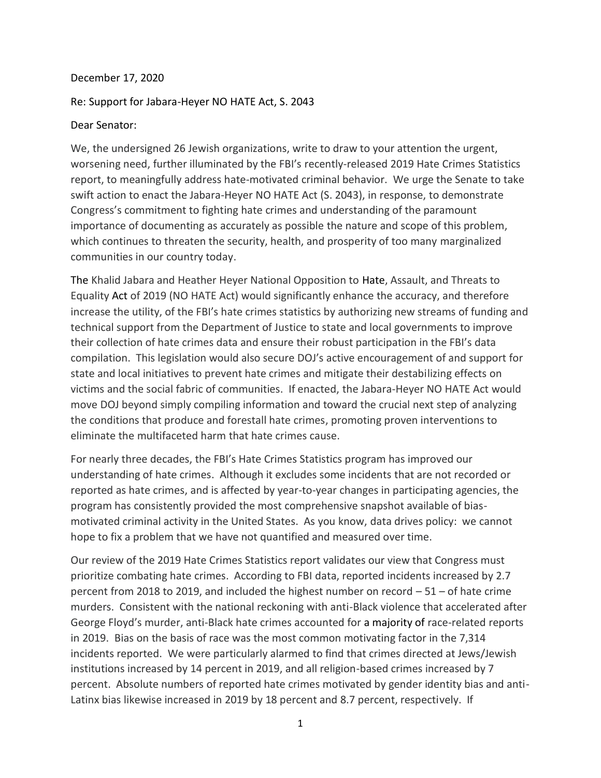## December 17, 2020

## Re: Support for Jabara-Heyer NO HATE Act, S. 2043

## Dear Senator:

We, the undersigned 26 Jewish organizations, write to draw to your attention the urgent, worsening need, further illuminated by the FBI's recently-released 2019 Hate Crimes Statistics report, to meaningfully address hate-motivated criminal behavior. We urge the Senate to take swift action to enact the Jabara-Heyer NO HATE Act (S. 2043), in response, to demonstrate Congress's commitment to fighting hate crimes and understanding of the paramount importance of documenting as accurately as possible the nature and scope of this problem, which continues to threaten the security, health, and prosperity of too many marginalized communities in our country today.

The Khalid Jabara and Heather Heyer National Opposition to Hate, Assault, and Threats to Equality Act of 2019 (NO HATE Act) would significantly enhance the accuracy, and therefore increase the utility, of the FBI's hate crimes statistics by authorizing new streams of funding and technical support from the Department of Justice to state and local governments to improve their collection of hate crimes data and ensure their robust participation in the FBI's data compilation. This legislation would also secure DOJ's active encouragement of and support for state and local initiatives to prevent hate crimes and mitigate their destabilizing effects on victims and the social fabric of communities. If enacted, the Jabara-Heyer NO HATE Act would move DOJ beyond simply compiling information and toward the crucial next step of analyzing the conditions that produce and forestall hate crimes, promoting proven interventions to eliminate the multifaceted harm that hate crimes cause.

For nearly three decades, the FBI's Hate Crimes Statistics program has improved our understanding of hate crimes. Although it excludes some incidents that are not recorded or reported as hate crimes, and is affected by year-to-year changes in participating agencies, the program has consistently provided the most comprehensive snapshot available of biasmotivated criminal activity in the United States. As you know, data drives policy: we cannot hope to fix a problem that we have not quantified and measured over time.

Our review of the 2019 Hate Crimes Statistics report validates our view that Congress must prioritize combating hate crimes. According to FBI data, reported incidents increased by 2.7 percent from 2018 to 2019, and included the highest number on record – 51 – of hate crime murders. Consistent with the national reckoning with anti-Black violence that accelerated after George Floyd's murder, anti-Black hate crimes accounted for a majority of race-related reports in 2019. Bias on the basis of race was the most common motivating factor in the 7,314 incidents reported. We were particularly alarmed to find that crimes directed at Jews/Jewish institutions increased by 14 percent in 2019, and all religion-based crimes increased by 7 percent. Absolute numbers of reported hate crimes motivated by gender identity bias and anti-Latinx bias likewise increased in 2019 by 18 percent and 8.7 percent, respectively. If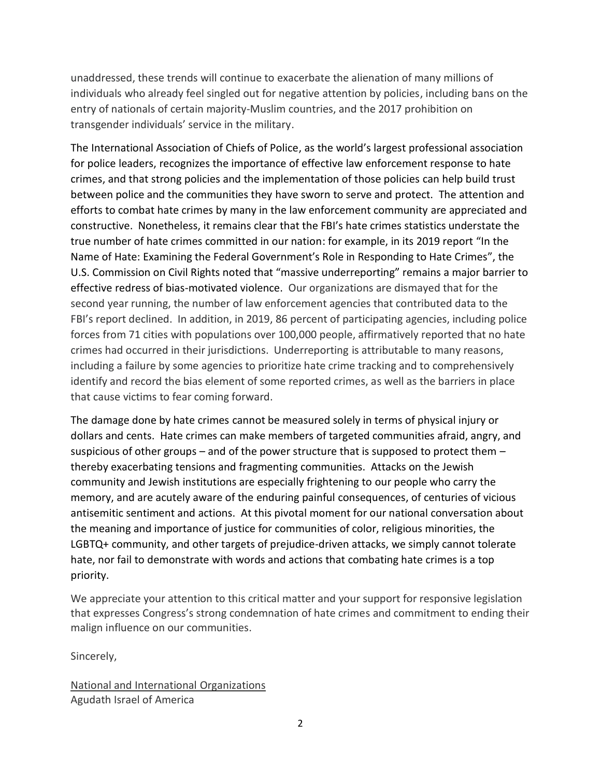unaddressed, these trends will continue to exacerbate the alienation of many millions of individuals who already feel singled out for negative attention by policies, including bans on the entry of nationals of certain majority-Muslim countries, and the 2017 prohibition on transgender individuals' service in the military.

The International Association of Chiefs of Police, as the world's largest professional association for police leaders, recognizes the importance of effective law enforcement response to hate crimes, and that strong policies and the implementation of those policies can help build trust between police and the communities they have sworn to serve and protect. The attention and efforts to combat hate crimes by many in the law enforcement community are appreciated and constructive. Nonetheless, it remains clear that the FBI's hate crimes statistics understate the true number of hate crimes committed in our nation: for example, in its 2019 report "In the Name of Hate: Examining the Federal Government's Role in Responding to Hate Crimes", the U.S. Commission on Civil Rights noted that "massive underreporting" remains a major barrier to effective redress of bias-motivated violence. Our organizations are dismayed that for the second year running, the number of law enforcement agencies that contributed data to the FBI's report declined. In addition, in 2019, 86 percent of participating agencies, including police forces from 71 cities with populations over 100,000 people, affirmatively reported that no hate crimes had occurred in their jurisdictions. Underreporting is attributable to many reasons, including a failure by some agencies to prioritize hate crime tracking and to comprehensively identify and record the bias element of some reported crimes, as well as the barriers in place that cause victims to fear coming forward.

The damage done by hate crimes cannot be measured solely in terms of physical injury or dollars and cents. Hate crimes can make members of targeted communities afraid, angry, and suspicious of other groups – and of the power structure that is supposed to protect them  $$ thereby exacerbating tensions and fragmenting communities. Attacks on the Jewish community and Jewish institutions are especially frightening to our people who carry the memory, and are acutely aware of the enduring painful consequences, of centuries of vicious antisemitic sentiment and actions. At this pivotal moment for our national conversation about the meaning and importance of justice for communities of color, religious minorities, the LGBTQ+ community, and other targets of prejudice-driven attacks, we simply cannot tolerate hate, nor fail to demonstrate with words and actions that combating hate crimes is a top priority.

We appreciate your attention to this critical matter and your support for responsive legislation that expresses Congress's strong condemnation of hate crimes and commitment to ending their malign influence on our communities.

Sincerely,

National and International Organizations Agudath Israel of America